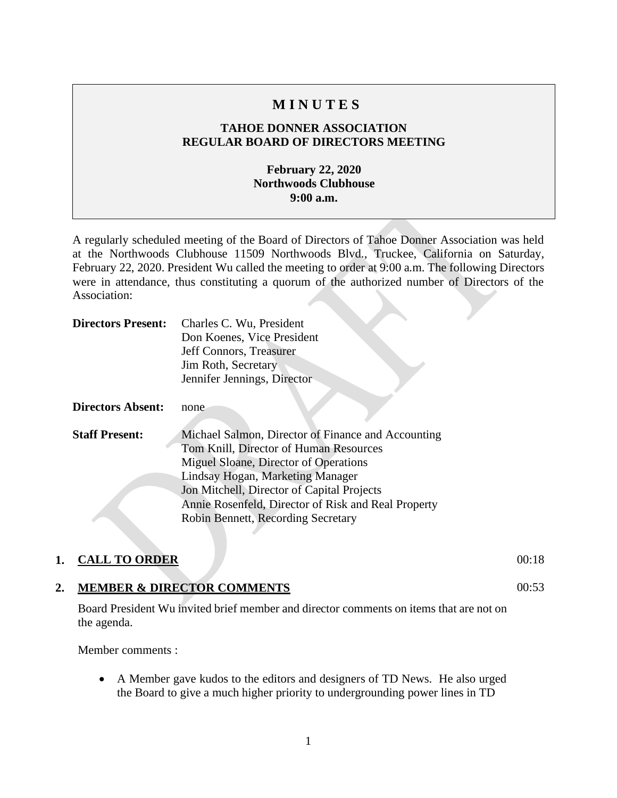## **M I N U T E S**

## **TAHOE DONNER ASSOCIATION REGULAR BOARD OF DIRECTORS MEETING**

## **February 22, 2020 Northwoods Clubhouse 9:00 a.m.**

A regularly scheduled meeting of the Board of Directors of Tahoe Donner Association was held at the Northwoods Clubhouse 11509 Northwoods Blvd., Truckee, California on Saturday, February 22, 2020. President Wu called the meeting to order at 9:00 a.m. The following Directors were in attendance, thus constituting a quorum of the authorized number of Directors of the Association:

| <b>Directors Present:</b> | Charles C. Wu, President<br>Don Koenes, Vice President<br>Jeff Connors, Treasurer<br>Jim Roth, Secretary<br>Jennifer Jennings, Director                                                                                                                                                                              |
|---------------------------|----------------------------------------------------------------------------------------------------------------------------------------------------------------------------------------------------------------------------------------------------------------------------------------------------------------------|
| <b>Directors Absent:</b>  | none                                                                                                                                                                                                                                                                                                                 |
| <b>Staff Present:</b>     | Michael Salmon, Director of Finance and Accounting<br>Tom Knill, Director of Human Resources<br>Miguel Sloane, Director of Operations<br>Lindsay Hogan, Marketing Manager<br>Jon Mitchell, Director of Capital Projects<br>Annie Rosenfeld, Director of Risk and Real Property<br>Robin Bennett, Recording Secretary |

#### **1. CALL TO ORDER** 00:18

#### **2. MEMBER & DIRECTOR COMMENTS**

Board President Wu invited brief member and director comments on items that are not on the agenda.

Member comments :

• A Member gave kudos to the editors and designers of TD News. He also urged the Board to give a much higher priority to undergrounding power lines in TD

00:53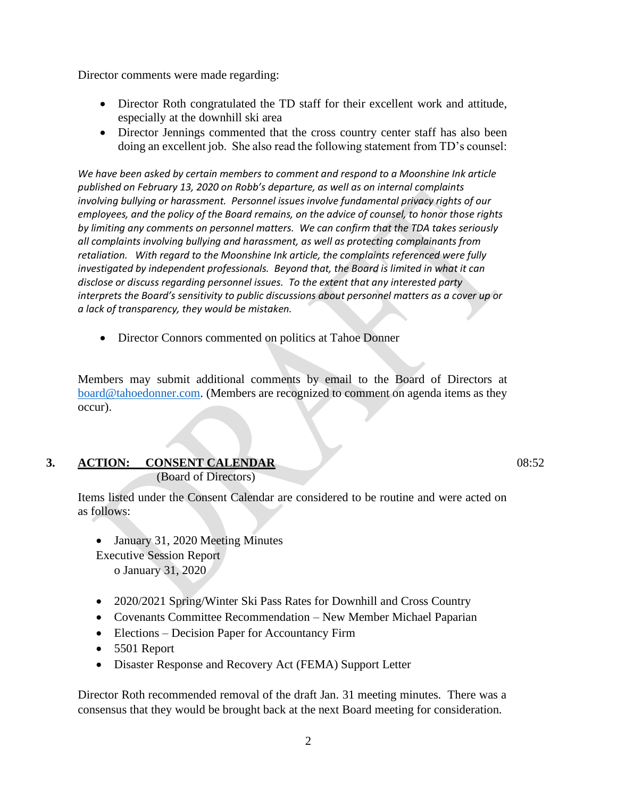Director comments were made regarding:

- Director Roth congratulated the TD staff for their excellent work and attitude, especially at the downhill ski area
- Director Jennings commented that the cross country center staff has also been doing an excellent job. She also read the following statement from TD's counsel:

*We have been asked by certain members to comment and respond to a Moonshine Ink article published on February 13, 2020 on Robb's departure, as well as on internal complaints involving bullying or harassment. Personnel issues involve fundamental privacy rights of our employees, and the policy of the Board remains, on the advice of counsel, to honor those rights by limiting any comments on personnel matters. We can confirm that the TDA takes seriously all complaints involving bullying and harassment, as well as protecting complainants from retaliation. With regard to the Moonshine Ink article, the complaints referenced were fully investigated by independent professionals. Beyond that, the Board is limited in what it can disclose or discuss regarding personnel issues. To the extent that any interested party interprets the Board's sensitivity to public discussions about personnel matters as a cover up or a lack of transparency, they would be mistaken.*

• Director Connors commented on politics at Tahoe Donner

Members may submit additional comments by email to the Board of Directors at [board@tahoedonner.com.](mailto:board@tahoedonner.com) (Members are recognized to comment on agenda items as they occur).

**3. ACTION: CONSENT CALENDAR**

(Board of Directors)

Items listed under the Consent Calendar are considered to be routine and were acted on as follows:

- January 31, 2020 Meeting Minutes
- Executive Session Report o January 31, 2020
- 2020/2021 Spring/Winter Ski Pass Rates for Downhill and Cross Country
- Covenants Committee Recommendation New Member Michael Paparian
- Elections Decision Paper for Accountancy Firm
- 5501 Report
- Disaster Response and Recovery Act (FEMA) Support Letter

Director Roth recommended removal of the draft Jan. 31 meeting minutes. There was a consensus that they would be brought back at the next Board meeting for consideration.

 $08:52$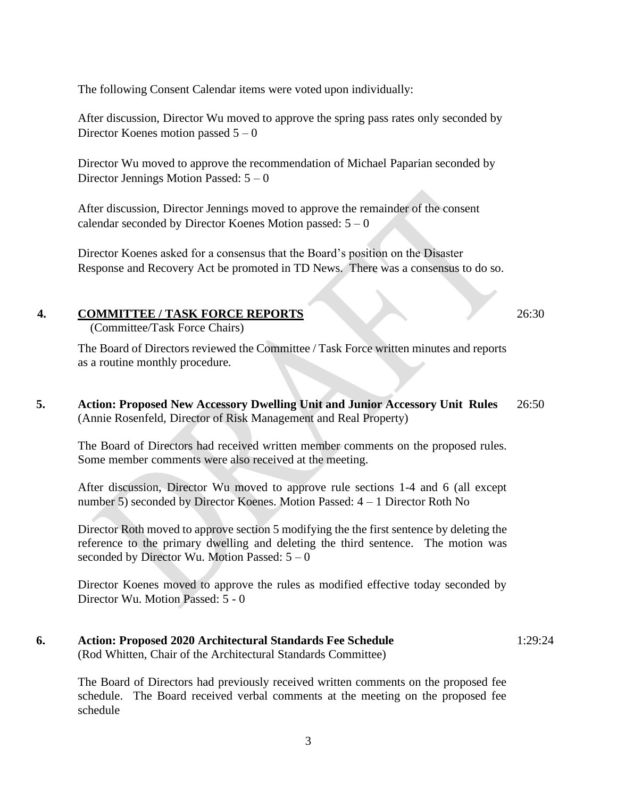The following Consent Calendar items were voted upon individually:

After discussion, Director Wu moved to approve the spring pass rates only seconded by Director Koenes motion passed  $5 - 0$ 

Director Wu moved to approve the recommendation of Michael Paparian seconded by Director Jennings Motion Passed:  $5 - 0$ 

After discussion, Director Jennings moved to approve the remainder of the consent calendar seconded by Director Koenes Motion passed:  $5 - 0$ 

Director Koenes asked for a consensus that the Board's position on the Disaster Response and Recovery Act be promoted in TD News. There was a consensus to do so.

## **4. COMMITTEE / TASK FORCE REPORTS**

(Committee/Task Force Chairs)

The Board of Directors reviewed the Committee / Task Force written minutes and reports as a routine monthly procedure.

**5. Action: Proposed New Accessory Dwelling Unit and Junior Accessory Unit Rules**  (Annie Rosenfeld, Director of Risk Management and Real Property) 26:50

The Board of Directors had received written member comments on the proposed rules. Some member comments were also received at the meeting.

After discussion, Director Wu moved to approve rule sections 1-4 and 6 (all except number 5) seconded by Director Koenes. Motion Passed: 4 – 1 Director Roth No

Director Roth moved to approve section 5 modifying the the first sentence by deleting the reference to the primary dwelling and deleting the third sentence. The motion was seconded by Director Wu. Motion Passed:  $5 - 0$ 

Director Koenes moved to approve the rules as modified effective today seconded by Director Wu. Motion Passed: 5 - 0

**6. Action: Proposed 2020 Architectural Standards Fee Schedule**  (Rod Whitten, Chair of the Architectural Standards Committee) 1:29:24

The Board of Directors had previously received written comments on the proposed fee schedule. The Board received verbal comments at the meeting on the proposed fee schedule

 $26:30$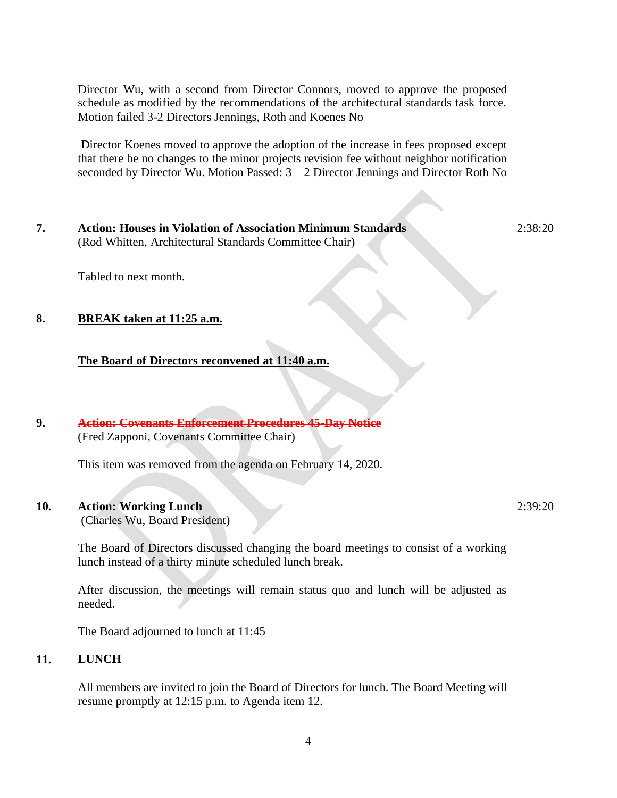Director Wu, with a second from Director Connors, moved to approve the proposed schedule as modified by the recommendations of the architectural standards task force. Motion failed 3-2 Directors Jennings, Roth and Koenes No

Director Koenes moved to approve the adoption of the increase in fees proposed except that there be no changes to the minor projects revision fee without neighbor notification seconded by Director Wu. Motion Passed: 3 – 2 Director Jennings and Director Roth No

**7. Action: Houses in Violation of Association Minimum Standards** (Rod Whitten, Architectural Standards Committee Chair)

2:38:20

Tabled to next month.

#### **8. BREAK taken at 11:25 a.m.**

#### **The Board of Directors reconvened at 11:40 a.m.**

**9. Action: Covenants Enforcement Procedures 45-Day Notice** (Fred Zapponi, Covenants Committee Chair)

This item was removed from the agenda on February 14, 2020.

#### **10. Action: Working Lunch**

(Charles Wu, Board President)

The Board of Directors discussed changing the board meetings to consist of a working lunch instead of a thirty minute scheduled lunch break.

After discussion, the meetings will remain status quo and lunch will be adjusted as needed.

The Board adjourned to lunch at 11:45

#### **11. LUNCH**

All members are invited to join the Board of Directors for lunch. The Board Meeting will resume promptly at 12:15 p.m. to Agenda item 12.

 $2:39:20$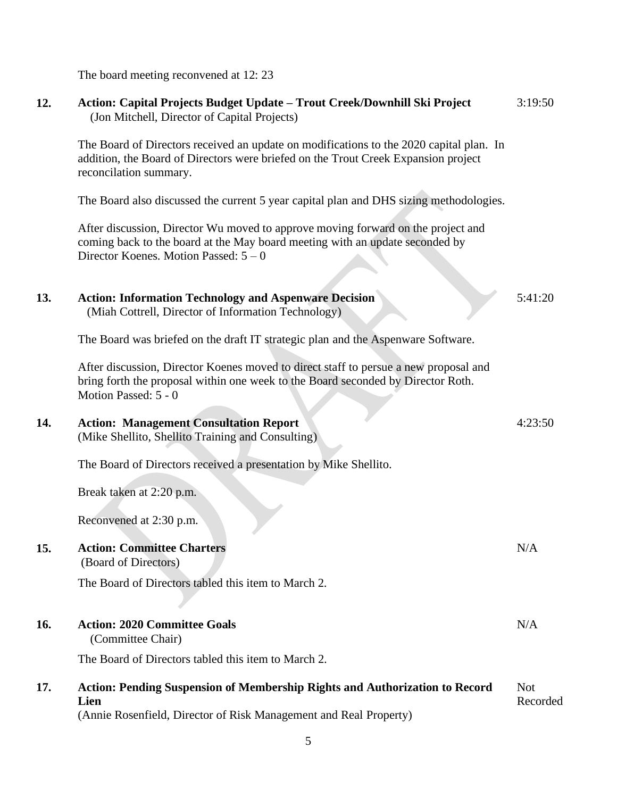|            | (Jon Mitchell, Director of Capital Projects)                                                                                                                                                              |                        |
|------------|-----------------------------------------------------------------------------------------------------------------------------------------------------------------------------------------------------------|------------------------|
|            | The Board of Directors received an update on modifications to the 2020 capital plan. In<br>addition, the Board of Directors were briefed on the Trout Creek Expansion project<br>reconcilation summary.   |                        |
|            | The Board also discussed the current 5 year capital plan and DHS sizing methodologies.                                                                                                                    |                        |
|            | After discussion, Director Wu moved to approve moving forward on the project and<br>coming back to the board at the May board meeting with an update seconded by<br>Director Koenes. Motion Passed: $5-0$ |                        |
| 13.        | <b>Action: Information Technology and Aspenware Decision</b><br>(Miah Cottrell, Director of Information Technology)                                                                                       | 5:41:20                |
|            | The Board was briefed on the draft IT strategic plan and the Aspenware Software.                                                                                                                          |                        |
|            | After discussion, Director Koenes moved to direct staff to persue a new proposal and<br>bring forth the proposal within one week to the Board seconded by Director Roth.<br>Motion Passed: 5 - 0          |                        |
| 14.        | <b>Action: Management Consultation Report</b><br>(Mike Shellito, Shellito Training and Consulting)                                                                                                        | 4:23:50                |
|            | The Board of Directors received a presentation by Mike Shellito.                                                                                                                                          |                        |
|            | Break taken at 2:20 p.m.                                                                                                                                                                                  |                        |
|            | Reconvened at 2:30 p.m.                                                                                                                                                                                   |                        |
| 15.        | <b>Action: Committee Charters</b><br>(Board of Directors)                                                                                                                                                 | N/A                    |
|            | The Board of Directors tabled this item to March 2.                                                                                                                                                       |                        |
| <b>16.</b> | <b>Action: 2020 Committee Goals</b><br>(Committee Chair)                                                                                                                                                  | N/A                    |
|            | The Board of Directors tabled this item to March 2.                                                                                                                                                       |                        |
| 17.        | Action: Pending Suspension of Membership Rights and Authorization to Record<br>Lien<br>(Annie Rosenfield, Director of Risk Management and Real Property)                                                  | <b>Not</b><br>Recorded |
|            | 5                                                                                                                                                                                                         |                        |

The board meeting reconvened at 12: 23

**12. Action: Capital Projects Budget Update – Trout Creek/Downhill Ski Project**

3:19:50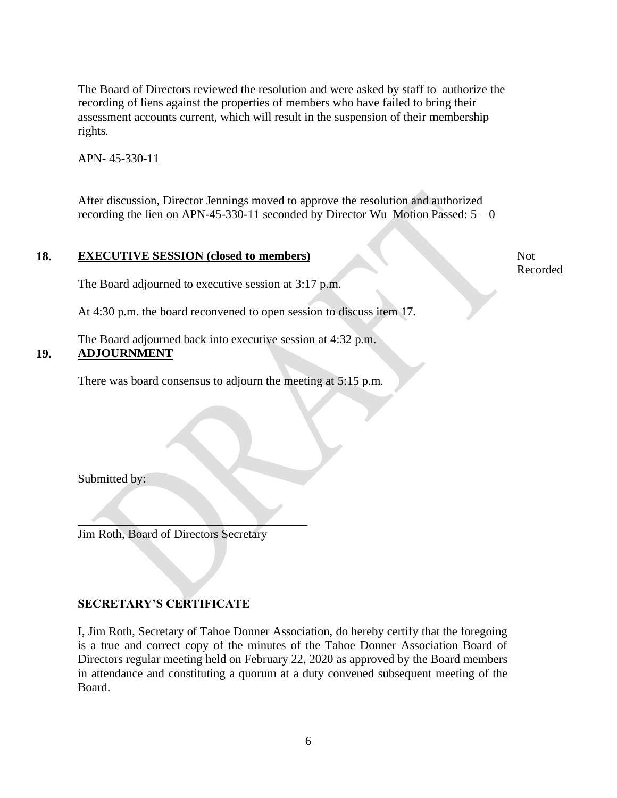The Board of Directors reviewed the resolution and were asked by staff to authorize the recording of liens against the properties of members who have failed to bring their assessment accounts current, which will result in the suspension of their membership rights.

APN- 45-330-11

After discussion, Director Jennings moved to approve the resolution and authorized recording the lien on APN-45-330-11 seconded by Director Wu Motion Passed:  $5 - 0$ 

#### **18. EXECUTIVE SESSION (closed to members)**

The Board adjourned to executive session at 3:17 p.m.

At 4:30 p.m. the board reconvened to open session to discuss item 17.

The Board adjourned back into executive session at 4:32 p.m. **19. ADJOURNMENT**

There was board consensus to adjourn the meeting at 5:15 p.m.

Submitted by:

Jim Roth, Board of Directors Secretary

 $\overline{\phantom{a}}$ 

#### **SECRETARY'S CERTIFICATE**

I, Jim Roth, Secretary of Tahoe Donner Association, do hereby certify that the foregoing is a true and correct copy of the minutes of the Tahoe Donner Association Board of Directors regular meeting held on February 22, 2020 as approved by the Board members in attendance and constituting a quorum at a duty convened subsequent meeting of the Board.

Not Recorded